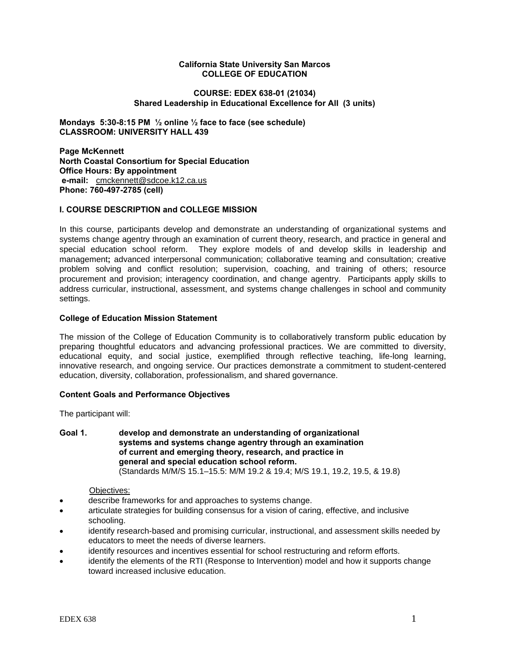#### **California State University San Marcos COLLEGE OF EDUCATION**

## **COURSE: EDEX 638-01 (21034) Shared Leadership in Educational Excellence for All (3 units)**

**Mondays 5:30-8:15 PM ½ online ½ face to face (see schedule) CLASSROOM: UNIVERSITY HALL 439**

 **Office Hours: By appointment e-mail:** cmckennett@sdcoe.k12.ca.us **Page McKennett North Coastal Consortium for Special Education Phone: 760-497-2785 (cell)** 

## **I. COURSE DESCRIPTION and COLLEGE MISSION**

In this course, participants develop and demonstrate an understanding of organizational systems and systems change agentry through an examination of current theory, research, and practice in general and special education school reform. They explore models of and develop skills in leadership and management**;** advanced interpersonal communication; collaborative teaming and consultation; creative problem solving and conflict resolution; supervision, coaching, and training of others; resource procurement and provision; interagency coordination, and change agentry. Participants apply skills to address curricular, instructional, assessment, and systems change challenges in school and community settings.

## **College of Education Mission Statement**

The mission of the College of Education Community is to collaboratively transform public education by preparing thoughtful educators and advancing professional practices. We are committed to diversity, educational equity, and social justice, exemplified through reflective teaching, life-long learning, innovative research, and ongoing service. Our practices demonstrate a commitment to student-centered education, diversity, collaboration, professionalism, and shared governance.

## **Content Goals and Performance Objectives**

The participant will:

#### **Goal 1. develop and demonstrate an understanding of organizational systems and systems change agentry through an examination of current and emerging theory, research, and practice in general and special education school reform.**  (Standards M/M/S 15.1–15.5: M/M 19.2 & 19.4; M/S 19.1, 19.2, 19.5, & 19.8)

## Objectives:

- describe frameworks for and approaches to systems change.
- articulate strategies for building consensus for a vision of caring, effective, and inclusive schooling.
- identify research-based and promising curricular, instructional, and assessment skills needed by educators to meet the needs of diverse learners.
- identify resources and incentives essential for school restructuring and reform efforts.
- identify the elements of the RTI (Response to Intervention) model and how it supports change toward increased inclusive education.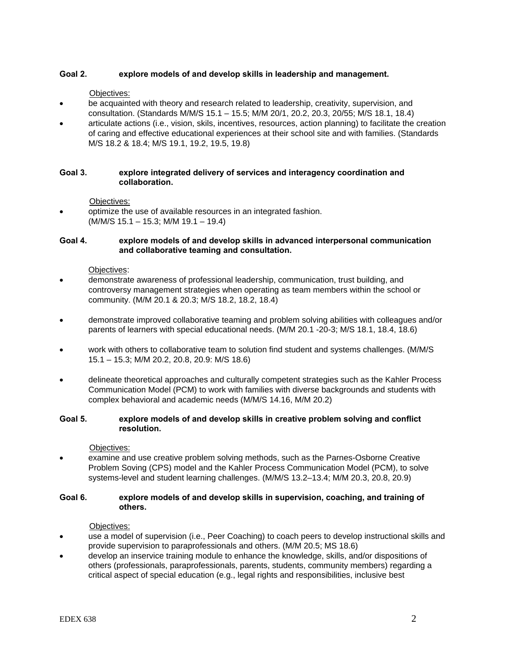# **Goal 2. explore models of and develop skills in leadership and management.**

Objectives:

- be acquainted with theory and research related to leadership, creativity, supervision, and consultation. (Standards M/M/S 15.1 – 15.5; M/M 20/1, 20.2, 20.3, 20/55; M/S 18.1, 18.4)
- articulate actions (i.e., vision, skils, incentives, resources, action planning) to facilitate the creation of caring and effective educational experiences at their school site and with families. (Standards M/S 18.2 & 18.4; M/S 19.1, 19.2, 19.5, 19.8)

## **Goal 3. explore integrated delivery of services and interagency coordination and collaboration.**

Objectives:

 optimize the use of available resources in an integrated fashion. (M/M/S 15.1 – 15.3; M/M 19.1 – 19.4)

# **Goal 4. explore models of and develop skills in advanced interpersonal communication and collaborative teaming and consultation.**

Objectives:

- demonstrate awareness of professional leadership, communication, trust building, and controversy management strategies when operating as team members within the school or community. (M/M 20.1 & 20.3; M/S 18.2, 18.2, 18.4)
- demonstrate improved collaborative teaming and problem solving abilities with colleagues and/or parents of learners with special educational needs. (M/M 20.1 -20-3; M/S 18.1, 18.4, 18.6)
- work with others to collaborative team to solution find student and systems challenges. (M/M/S 15.1 – 15.3; M/M 20.2, 20.8, 20.9: M/S 18.6)
- delineate theoretical approaches and culturally competent strategies such as the Kahler Process Communication Model (PCM) to work with families with diverse backgrounds and students with complex behavioral and academic needs (M/M/S 14.16, M/M 20.2)

## **Goal 5. explore models of and develop skills in creative problem solving and conflict resolution.**

Objectives:

 examine and use creative problem solving methods, such as the Parnes-Osborne Creative Problem Soving (CPS) model and the Kahler Process Communication Model (PCM), to solve systems-level and student learning challenges. (M/M/S 13.2–13.4; M/M 20.3, 20.8, 20.9)

## **Goal 6. explore models of and develop skills in supervision, coaching, and training of others.**

Objectives:

- use a model of supervision (i.e., Peer Coaching) to coach peers to develop instructional skills and provide supervision to paraprofessionals and others. (M/M 20.5; MS 18.6)
- develop an inservice training module to enhance the knowledge, skills, and/or dispositions of others (professionals, paraprofessionals, parents, students, community members) regarding a critical aspect of special education (e.g., legal rights and responsibilities, inclusive best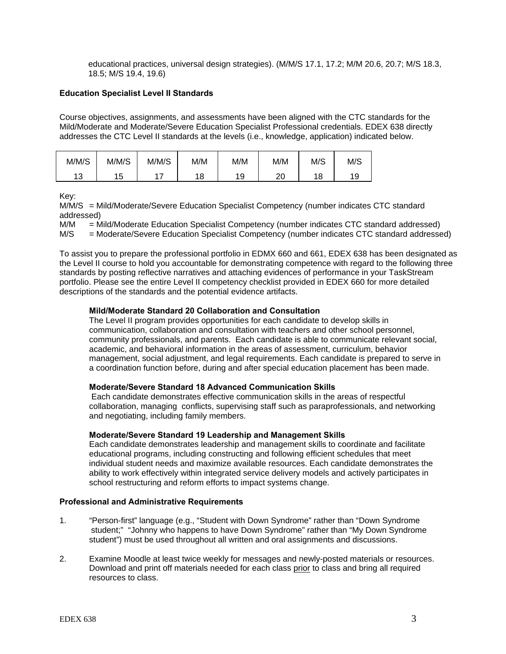educational practices, universal design strategies). (M/M/S 17.1, 17.2; M/M 20.6, 20.7; M/S 18.3, 18.5; M/S 19.4, 19.6)

# **Education Specialist Level II Standards**

Course objectives, assignments, and assessments have been aligned with the CTC standards for the Mild/Moderate and Moderate/Severe Education Specialist Professional credentials. EDEX 638 directly addresses the CTC Level II standards at the levels (i.e., knowledge, application) indicated below.

| M/M/S     | M/M/S     | M/M/S | M/M | M/M      | M/M      | M/S       | M/S |
|-----------|-----------|-------|-----|----------|----------|-----------|-----|
| 12<br>. ب | 1 5<br>ັບ |       | 18  | 1 Q<br>ັ | ററ<br>∠∪ | ' د⊙<br>O |     |

Key:

M/M/S = Mild/Moderate/Severe Education Specialist Competency (number indicates CTC standard addressed)

M/M = Mild/Moderate Education Specialist Competency (number indicates CTC standard addressed)

M/S = Moderate/Severe Education Specialist Competency (number indicates CTC standard addressed)

To assist you to prepare the professional portfolio in EDMX 660 and 661, EDEX 638 has been designated as the Level II course to hold you accountable for demonstrating competence with regard to the following three standards by posting reflective narratives and attaching evidences of performance in your TaskStream portfolio. Please see the entire Level II competency checklist provided in EDEX 660 for more detailed descriptions of the standards and the potential evidence artifacts.

## **Mild/Moderate Standard 20 Collaboration and Consultation**

The Level II program provides opportunities for each candidate to develop skills in communication, collaboration and consultation with teachers and other school personnel, community professionals, and parents. Each candidate is able to communicate relevant social, academic, and behavioral information in the areas of assessment, curriculum, behavior management, social adjustment, and legal requirements. Each candidate is prepared to serve in a coordination function before, during and after special education placement has been made.

# **Moderate/Severe Standard 18 Advanced Communication Skills**

 Each candidate demonstrates effective communication skills in the areas of respectful collaboration, managing conflicts, supervising staff such as paraprofessionals, and networking and negotiating, including family members.

# **Moderate/Severe Standard 19 Leadership and Management Skills**

Each candidate demonstrates leadership and management skills to coordinate and facilitate educational programs, including constructing and following efficient schedules that meet individual student needs and maximize available resources. Each candidate demonstrates the ability to work effectively within integrated service delivery models and actively participates in school restructuring and reform efforts to impact systems change.

## **Professional and Administrative Requirements**

- 1. "Person-first" language (e.g., "Student with Down Syndrome" rather than "Down Syndrome student;" "Johnny who happens to have Down Syndrome" rather than "My Down Syndrome student") must be used throughout all written and oral assignments and discussions.
- 2. Examine Moodle at least twice weekly for messages and newly-posted materials or resources. Download and print off materials needed for each class prior to class and bring all required resources to class.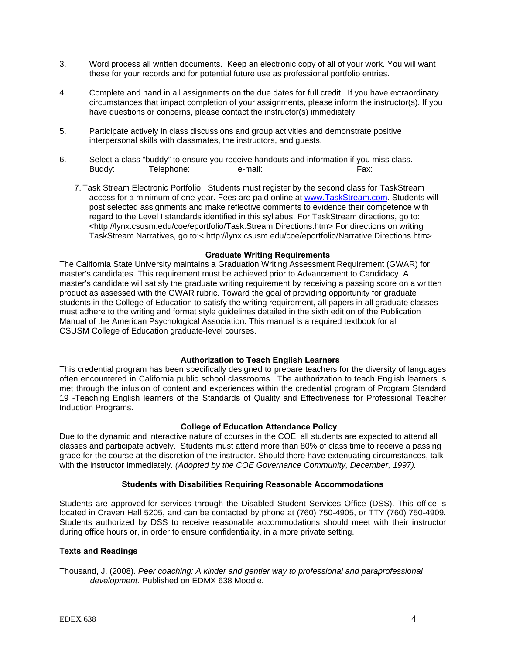- 3. Word process all written documents. Keep an electronic copy of all of your work. You will want these for your records and for potential future use as professional portfolio entries.
- 4. Complete and hand in all assignments on the due dates for full credit. If you have extraordinary circumstances that impact completion of your assignments, please inform the instructor(s). If you have questions or concerns, please contact the instructor(s) immediately.
- 5. Participate actively in class discussions and group activities and demonstrate positive interpersonal skills with classmates, the instructors, and guests.
- 6. Select a class "buddy" to ensure you receive handouts and information if you miss class. Buddy: Telephone: e-mail: Fax:
	- 7. Task Stream Electronic Portfolio. Students must register by the second class for TaskStream access for a minimum of one year. Fees are paid online at www.TaskStream.com. Students will post selected assignments and make reflective comments to evidence their competence with regard to the Level I standards identified in this syllabus. For TaskStream directions, go to: <http://lynx.csusm.edu/coe/eportfolio/Task.Stream.Directions.htm> For directions on writing TaskStream Narratives, go to:< http://lynx.csusm.edu/coe/eportfolio/Narrative.Directions.htm>

## **Graduate Writing Requirements**

The California State University maintains a Graduation Writing Assessment Requirement (GWAR) for master's candidates. This requirement must be achieved prior to Advancement to Candidacy. A master's candidate will satisfy the graduate writing requirement by receiving a passing score on a written product as assessed with the GWAR rubric. Toward the goal of providing opportunity for graduate students in the College of Education to satisfy the writing requirement, all papers in all graduate classes must adhere to the writing and format style guidelines detailed in the sixth edition of the Publication Manual of the American Psychological Association. This manual is a required textbook for all CSUSM College of Education graduate-level courses.

## **Authorization to Teach English Learners**

 often encountered in California public school classrooms. The authorization to teach English learners is This credential program has been specifically designed to prepare teachers for the diversity of languages met through the infusion of content and experiences within the credential program of Program Standard 19 -Teaching English learners of the Standards of Quality and Effectiveness for Professional Teacher Induction Programs**.**

## **College of Education Attendance Policy**

 with the instructor immediately. *(Adopted by the COE Governance Community, December, 1997).* Due to the dynamic and interactive nature of courses in the COE, all students are expected to attend all classes and participate actively. Students must attend more than 80% of class time to receive a passing grade for the course at the discretion of the instructor. Should there have extenuating circumstances, talk

## **Students with Disabilities Requiring Reasonable Accommodations**

Students are approved for services through the Disabled Student Services Office (DSS). This office is located in Craven Hall 5205, and can be contacted by phone at (760) 750-4905, or TTY (760) 750-4909. Students authorized by DSS to receive reasonable accommodations should meet with their instructor during office hours or, in order to ensure confidentiality, in a more private setting.

# **Texts and Readings**

Thousand, J. (2008). *Peer coaching: A kinder and gentler way to professional and paraprofessional development.* Published on EDMX 638 Moodle.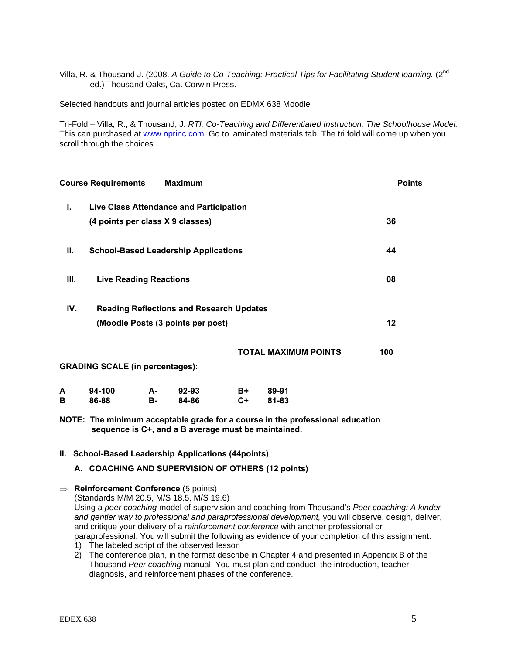Villa, R. & Thousand J. (2008. A Guide to Co-Teaching: Practical Tips for Facilitating Student learning. (2<sup>nd</sup> ed.) Thousand Oaks, Ca. Corwin Press.

Selected handouts and journal articles posted on EDMX 638 Moodle

Tri-Fold – Villa, R., & Thousand, J. *RTI: Co-Teaching and Differentiated Instruction; The Schoolhouse Model.*  This can purchased at www.nprinc.com. Go to laminated materials tab. The tri fold will come up when you scroll through the choices.

|        | <b>Course Requirements</b>             |          | <b>Maximum</b>                                  |            |                             | <b>Points</b> |
|--------|----------------------------------------|----------|-------------------------------------------------|------------|-----------------------------|---------------|
| L.     |                                        |          | Live Class Attendance and Participation         |            |                             |               |
|        | (4 points per class X 9 classes)       |          |                                                 |            |                             | 36            |
| Ш.     |                                        |          | <b>School-Based Leadership Applications</b>     |            |                             | 44            |
| Ш.     | <b>Live Reading Reactions</b>          |          |                                                 |            |                             | 08            |
| IV.    |                                        |          | <b>Reading Reflections and Research Updates</b> |            |                             |               |
|        |                                        |          | (Moodle Posts (3 points per post)               |            |                             | 12            |
|        |                                        |          |                                                 |            | <b>TOTAL MAXIMUM POINTS</b> | 100           |
|        | <b>GRADING SCALE (in percentages):</b> |          |                                                 |            |                             |               |
| А<br>В | 94-100<br>86-88                        | А-<br>в- | 92-93<br>84-86                                  | B+<br>$C+$ | 89-91<br>81-83              |               |

**NOTE: The minimum acceptable grade for a course in the professional education sequence is C+, and a B average must be maintained.** 

## **II. School-Based Leadership Applications (44points)**

# **A. COACHING AND SUPERVISION OF OTHERS (12 points)**

 **Reinforcement Conference** (5 points)

(Standards M/M 20.5, M/S 18.5, M/S 19.6) Using a *peer coaching* model of supervision and coaching from Thousand's *Peer coaching: A kinder and gentler way to professional and paraprofessional development,* you will observe, design, deliver, and critique your delivery of a *reinforcement conference* with another professional or paraprofessional. You will submit the following as evidence of your completion of this assignment:

- 1) The labeled script of the observed lesson
- 2) The conference plan, in the format describe in Chapter 4 and presented in Appendix B of the Thousand *Peer coaching* manual. You must plan and conduct the introduction, teacher diagnosis, and reinforcement phases of the conference.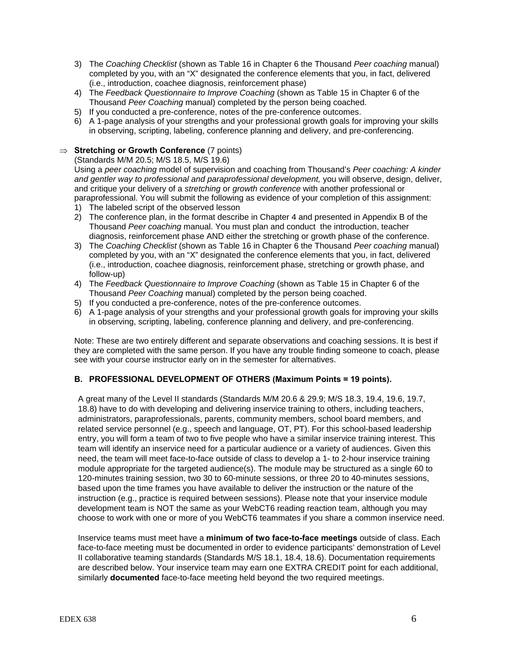- 3) The *Coaching Checklist* (shown as Table 16 in Chapter 6 the Thousand *Peer coaching* manual) completed by you, with an "X" designated the conference elements that you, in fact, delivered (i.e., introduction, coachee diagnosis, reinforcement phase)
- 4) The *Feedback Questionnaire to Improve Coaching* (shown as Table 15 in Chapter 6 of the Thousand *Peer Coaching* manual) completed by the person being coached.
- 5) If you conducted a pre-conference, notes of the pre-conference outcomes.
- 6) A 1-page analysis of your strengths and your professional growth goals for improving your skills in observing, scripting, labeling, conference planning and delivery, and pre-conferencing.

## **Stretching or Growth Conference** (7 points)

(Standards M/M 20.5; M/S 18.5, M/S 19.6)

Using a *peer coaching* model of supervision and coaching from Thousand's *Peer coaching: A kinder and gentler way to professional and paraprofessional development,* you will observe, design, deliver, and critique your delivery of a *stretching* or *growth conference* with another professional or paraprofessional. You will submit the following as evidence of your completion of this assignment:

- 1) The labeled script of the observed lesson
- 2) The conference plan, in the format describe in Chapter 4 and presented in Appendix B of the Thousand *Peer coaching* manual. You must plan and conduct the introduction, teacher diagnosis, reinforcement phase AND either the stretching or growth phase of the conference.
- 3) The *Coaching Checklist* (shown as Table 16 in Chapter 6 the Thousand *Peer coaching* manual) completed by you, with an "X" designated the conference elements that you, in fact, delivered (i.e., introduction, coachee diagnosis, reinforcement phase, stretching or growth phase, and follow-up)
- 4) The *Feedback Questionnaire to Improve Coaching* (shown as Table 15 in Chapter 6 of the Thousand *Peer Coaching* manual) completed by the person being coached.
- 5) If you conducted a pre-conference, notes of the pre-conference outcomes.
- 6) A 1-page analysis of your strengths and your professional growth goals for improving your skills in observing, scripting, labeling, conference planning and delivery, and pre-conferencing.

Note: These are two entirely different and separate observations and coaching sessions. It is best if they are completed with the same person. If you have any trouble finding someone to coach, please see with your course instructor early on in the semester for alternatives.

# **B. PROFESSIONAL DEVELOPMENT OF OTHERS (Maximum Points = 19 points).**

A great many of the Level II standards (Standards M/M 20.6 & 29.9; M/S 18.3, 19.4, 19.6, 19.7, 18.8) have to do with developing and delivering inservice training to others, including teachers, administrators, paraprofessionals, parents, community members, school board members, and related service personnel (e.g., speech and language, OT, PT). For this school-based leadership entry, you will form a team of two to five people who have a similar inservice training interest. This team will identify an inservice need for a particular audience or a variety of audiences. Given this need, the team will meet face-to-face outside of class to develop a 1- to 2-hour inservice training module appropriate for the targeted audience(s). The module may be structured as a single 60 to 120-minutes training session, two 30 to 60-minute sessions, or three 20 to 40-minutes sessions, based upon the time frames you have available to deliver the instruction or the nature of the instruction (e.g., practice is required between sessions). Please note that your inservice module development team is NOT the same as your WebCT6 reading reaction team, although you may choose to work with one or more of you WebCT6 teammates if you share a common inservice need.

Inservice teams must meet have a **minimum of two face-to-face meetings** outside of class. Each face-to-face meeting must be documented in order to evidence participants' demonstration of Level II collaborative teaming standards (Standards M/S 18.1, 18.4, 18.6). Documentation requirements are described below. Your inservice team may earn one EXTRA CREDIT point for each additional, similarly **documented** face-to-face meeting held beyond the two required meetings.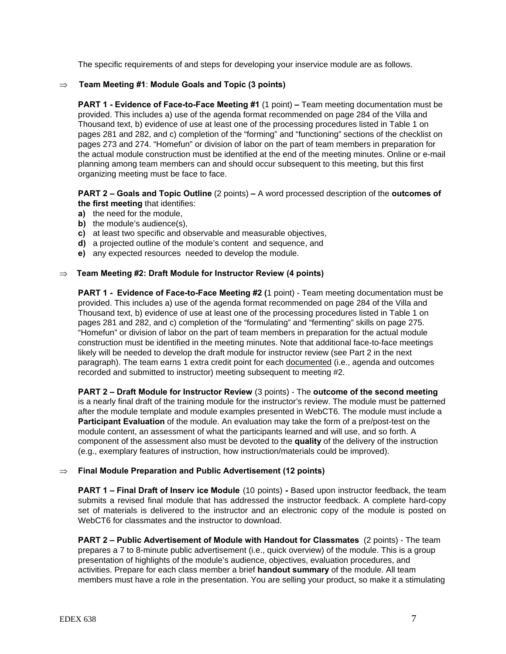The specific requirements of and steps for developing your inservice module are as follows.

# Team Meeting #1: Module Goals and Topic (3 points)

 **Team Meeting #1**: **Module Goals and Topic (3 points) PART 1 - Evidence of Face-to-Face Meeting #1** (1 point) **–** Team meeting documentation must be provided. This includes a) use of the agenda format recommended on page 284 of the Villa and Thousand text, b) evidence of use at least one of the processing procedures listed in Table 1 on pages 281 and 282, and c) completion of the "forming" and "functioning" sections of the checklist on pages 273 and 274. "Homefun" or division of labor on the part of team members in preparation for the actual module construction must be identified at the end of the meeting minutes. Online or e-mail planning among team members can and should occur subsequent to this meeting, but this first organizing meeting must be face to face.

## **PART 2 – Goals and Topic Outline** (2 points) **–** A word processed description of the **outcomes of the first meeting** that identifies:

- **a)** the need for the module,
- **b)** the module's audience(s),
- **c)** at least two specific and observable and measurable objectives,
- **d)** a projected outline of the module's content and sequence, and
- **e)** any expected resources needed to develop the module.

# **Team Meeting #2: Draft Module for Instructor Review (4 points)**

**PART 1 - Evidence of Face-to-Face Meeting #2 (**1 point) - Team meeting documentation must be provided. This includes a) use of the agenda format recommended on page 284 of the Villa and Thousand text, b) evidence of use at least one of the processing procedures listed in Table 1 on pages 281 and 282, and c) completion of the "formulating" and "fermenting" skills on page 275. "Homefun" or division of labor on the part of team members in preparation for the actual module construction must be identified in the meeting minutes. Note that additional face-to-face meetings likely will be needed to develop the draft module for instructor review (see Part 2 in the next paragraph). The team earns 1 extra credit point for each documented (i.e., agenda and outcomes recorded and submitted to instructor) meeting subsequent to meeting #2.

**PART 2 – Draft Module for Instructor Review** (3 points) - The **outcome of the second meeting**  is a nearly final draft of the training module for the instructor's review. The module must be patterned after the module template and module examples presented in WebCT6. The module must include a **Participant Evaluation** of the module. An evaluation may take the form of a pre/post-test on the module content, an assessment of what the participants learned and will use, and so forth. A component of the assessment also must be devoted to the **quality** of the delivery of the instruction (e.g., exemplary features of instruction, how instruction/materials could be improved).

# **Final Module Preparation and Public Advertisement (12 points)**

**PART 1 – Final Draft of Inserv ice Module** (10 points) **-** Based upon instructor feedback, the team submits a revised final module that has addressed the instructor feedback. A complete hard-copy set of materials is delivered to the instructor and an electronic copy of the module is posted on WebCT6 for classmates and the instructor to download.

**PART 2 – Public Advertisement of Module with Handout for Classmates** (2 points) - The team prepares a 7 to 8-minute public advertisement (i.e., quick overview) of the module. This is a group presentation of highlights of the module's audience, objectives, evaluation procedures, and activities. Prepare for each class member a brief **handout summary** of the module. All team members must have a role in the presentation. You are selling your product, so make it a stimulating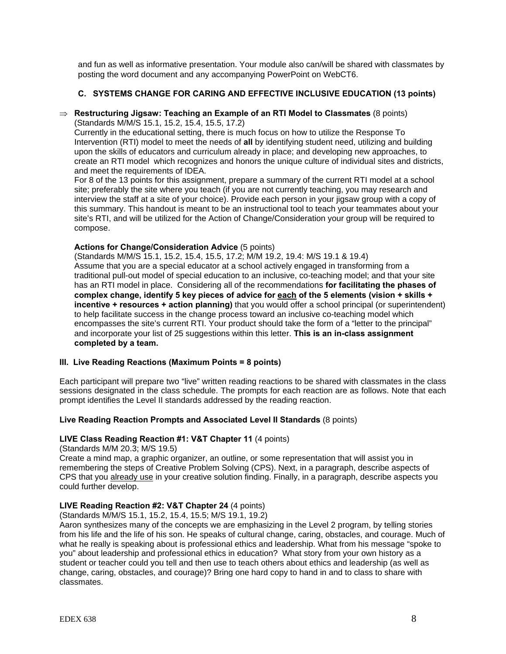and fun as well as informative presentation. Your module also can/will be shared with classmates by posting the word document and any accompanying PowerPoint on WebCT6.

# **C. SYSTEMS CHANGE FOR CARING AND EFFECTIVE INCLUSIVE EDUCATION (13 points)**

# **Restructuring Jigsaw: Teaching an Example of an RTI Model to Classmates** (8 points)

(Standards M/M/S 15.1, 15.2, 15.4, 15.5, 17.2) Currently in the educational setting, there is much focus on how to utilize the Response To Intervention (RTI) model to meet the needs of **all** by identifying student need, utilizing and building upon the skills of educators and curriculum already in place; and developing new approaches, to create an RTI model which recognizes and honors the unique culture of individual sites and districts, and meet the requirements of IDEA.

For 8 of the 13 points for this assignment, prepare a summary of the current RTI model at a school site; preferably the site where you teach (if you are not currently teaching, you may research and interview the staff at a site of your choice). Provide each person in your jigsaw group with a copy of this summary. This handout is meant to be an instructional tool to teach your teammates about your site's RTI, and will be utilized for the Action of Change/Consideration your group will be required to compose.

## **Actions for Change/Consideration Advice** (5 points)

(Standards M/M/S 15.1, 15.2, 15.4, 15.5, 17.2; M/M 19.2, 19.4: M/S 19.1 & 19.4) Assume that you are a special educator at a school actively engaged in transforming from a traditional pull-out model of special education to an inclusive, co-teaching model; and that your site has an RTI model in place. Considering all of the recommendations **for facilitating the phases of complex change, identify 5 key pieces of advice for each of the 5 elements (vision + skills + incentive + resources + action planning)** that you would offer a school principal (or superintendent) to help facilitate success in the change process toward an inclusive co-teaching model which encompasses the site's current RTI. Your product should take the form of a "letter to the principal" and incorporate your list of 25 suggestions within this letter. **This is an in-class assignment completed by a team.**

## **III. Live Reading Reactions (Maximum Points = 8 points)**

Each participant will prepare two "live" written reading reactions to be shared with classmates in the class sessions designated in the class schedule. The prompts for each reaction are as follows. Note that each prompt identifies the Level II standards addressed by the reading reaction.

## **Live Reading Reaction Prompts and Associated Level II Standards** (8 points)

## **LIVE Class Reading Reaction #1: V&T Chapter 11** (4 points)

(Standards M/M 20.3; M/S 19.5)

Create a mind map, a graphic organizer, an outline, or some representation that will assist you in remembering the steps of Creative Problem Solving (CPS). Next, in a paragraph, describe aspects of CPS that you already use in your creative solution finding. Finally, in a paragraph, describe aspects you could further develop.

# **LIVE Reading Reaction #2: V&T Chapter 24** (4 points)

(Standards M/M/S 15.1, 15.2, 15.4, 15.5; M/S 19.1, 19.2)

Aaron synthesizes many of the concepts we are emphasizing in the Level 2 program, by telling stories from his life and the life of his son. He speaks of cultural change, caring, obstacles, and courage. Much of what he really is speaking about is professional ethics and leadership. What from his message "spoke to you" about leadership and professional ethics in education? What story from your own history as a student or teacher could you tell and then use to teach others about ethics and leadership (as well as change, caring, obstacles, and courage)? Bring one hard copy to hand in and to class to share with classmates.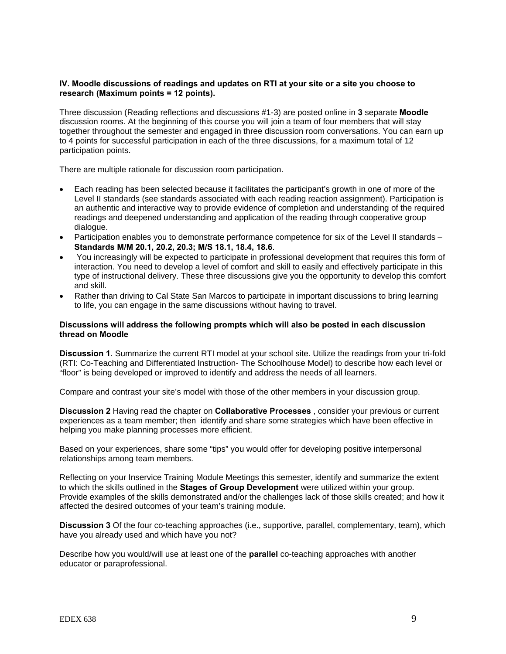## **IV. Moodle discussions of readings and updates on RTI at your site or a site you choose to research (Maximum points = 12 points).**

Three discussion (Reading reflections and discussions #1-3) are posted online in **3** separate **Moodle**  discussion rooms. At the beginning of this course you will join a team of four members that will stay together throughout the semester and engaged in three discussion room conversations. You can earn up to 4 points for successful participation in each of the three discussions, for a maximum total of 12 participation points.

There are multiple rationale for discussion room participation.

- Each reading has been selected because it facilitates the participant's growth in one of more of the Level II standards (see standards associated with each reading reaction assignment). Participation is an authentic and interactive way to provide evidence of completion and understanding of the required readings and deepened understanding and application of the reading through cooperative group dialogue.
- Participation enables you to demonstrate performance competence for six of the Level II standards **Standards M/M 20.1, 20.2, 20.3; M/S 18.1, 18.4, 18.6**.
- You increasingly will be expected to participate in professional development that requires this form of interaction. You need to develop a level of comfort and skill to easily and effectively participate in this type of instructional delivery. These three discussions give you the opportunity to develop this comfort and skill.
- Rather than driving to Cal State San Marcos to participate in important discussions to bring learning to life, you can engage in the same discussions without having to travel.

## **Discussions will address the following prompts which will also be posted in each discussion thread on Moodle**

**Discussion 1**. Summarize the current RTI model at your school site. Utilize the readings from your tri-fold (RTI: Co-Teaching and Differentiated Instruction- The Schoolhouse Model) to describe how each level or "floor" is being developed or improved to identify and address the needs of all learners.

Compare and contrast your site's model with those of the other members in your discussion group.

**Discussion 2** Having read the chapter on **Collaborative Processes** , consider your previous or current experiences as a team member; then identify and share some strategies which have been effective in helping you make planning processes more efficient.

Based on your experiences, share some "tips" you would offer for developing positive interpersonal relationships among team members.

Reflecting on your Inservice Training Module Meetings this semester, identify and summarize the extent to which the skills outlined in the **Stages of Group Development** were utilized within your group. Provide examples of the skills demonstrated and/or the challenges lack of those skills created; and how it affected the desired outcomes of your team's training module.

**Discussion 3** Of the four co-teaching approaches (i.e., supportive, parallel, complementary, team), which have you already used and which have you not?

Describe how you would/will use at least one of the **parallel** co-teaching approaches with another educator or paraprofessional.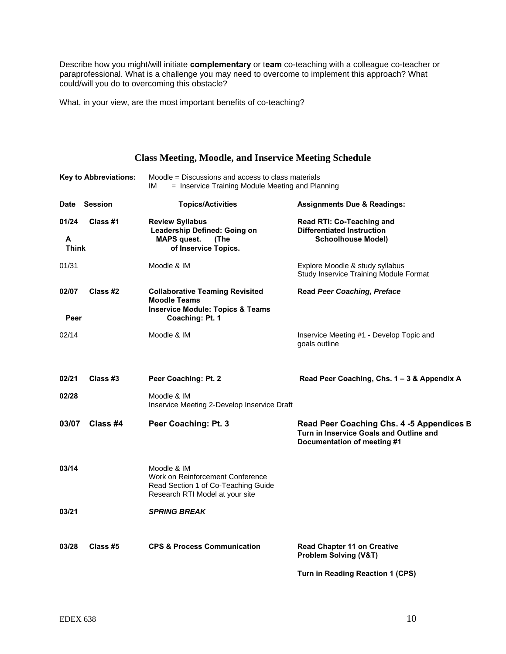Describe how you might/will initiate **complementary** or t**eam** co-teaching with a colleague co-teacher or paraprofessional. What is a challenge you may need to overcome to implement this approach? What could/will you do to overcoming this obstacle?

What, in your view, are the most important benefits of co-teaching?

|                            | <b>Key to Abbreviations:</b> | Moodle = Discussions and access to class materials                                                                              |                                                                                                                     |
|----------------------------|------------------------------|---------------------------------------------------------------------------------------------------------------------------------|---------------------------------------------------------------------------------------------------------------------|
|                            |                              | = Inservice Training Module Meeting and Planning<br>IМ                                                                          |                                                                                                                     |
|                            | Date Session                 | <b>Topics/Activities</b>                                                                                                        | <b>Assignments Due &amp; Readings:</b>                                                                              |
| 01/24<br>A<br><b>Think</b> | Class #1                     | <b>Review Syllabus</b><br>Leadership Defined: Going on<br><b>MAPS</b> quest.<br>(The<br>of Inservice Topics.                    | Read RTI: Co-Teaching and<br><b>Differentiated Instruction</b><br><b>Schoolhouse Model)</b>                         |
| 01/31                      |                              | Moodle & IM                                                                                                                     | Explore Moodle & study syllabus<br>Study Inservice Training Module Format                                           |
| 02/07<br>Peer              | Class #2                     | <b>Collaborative Teaming Revisited</b><br><b>Moodle Teams</b><br><b>Inservice Module: Topics &amp; Teams</b><br>Coaching: Pt. 1 | <b>Read Peer Coaching, Preface</b>                                                                                  |
| 02/14                      |                              | Moodle & IM                                                                                                                     | Inservice Meeting #1 - Develop Topic and<br>goals outline                                                           |
| 02/21                      | Class #3                     | Peer Coaching: Pt. 2                                                                                                            | Read Peer Coaching, Chs. 1 - 3 & Appendix A                                                                         |
| 02/28                      |                              | Moodle & IM<br>Inservice Meeting 2-Develop Inservice Draft                                                                      |                                                                                                                     |
| 03/07                      | Class #4                     | Peer Coaching: Pt. 3                                                                                                            | Read Peer Coaching Chs. 4 -5 Appendices B<br>Turn in Inservice Goals and Outline and<br>Documentation of meeting #1 |
| 03/14                      |                              | Moodle & IM<br>Work on Reinforcement Conference<br>Read Section 1 of Co-Teaching Guide<br>Research RTI Model at your site       |                                                                                                                     |
| 03/21                      |                              | <b>SPRING BREAK</b>                                                                                                             |                                                                                                                     |
| 03/28                      | Class #5                     | <b>CPS &amp; Process Communication</b>                                                                                          | <b>Read Chapter 11 on Creative</b><br>Problem Solving (V&T)                                                         |

**Class Meeting, Moodle, and Inservice Meeting Schedule** 

**Turn in Reading Reaction 1 (CPS)**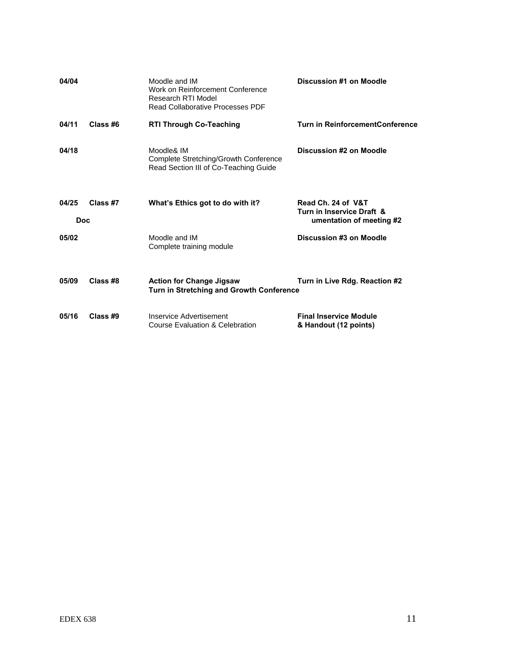| 04/04               |          | Moodle and IM<br>Work on Reinforcement Conference<br>Research RTI Model<br><b>Read Collaborative Processes PDF</b> | Discussion #1 on Moodle                                                     |
|---------------------|----------|--------------------------------------------------------------------------------------------------------------------|-----------------------------------------------------------------------------|
| 04/11               | Class #6 | <b>RTI Through Co-Teaching</b>                                                                                     | <b>Turn in ReinforcementConference</b>                                      |
| 04/18               |          | Moodle& IM<br>Complete Stretching/Growth Conference<br>Read Section III of Co-Teaching Guide                       | Discussion #2 on Moodle                                                     |
| 04/25<br><b>Doc</b> | Class #7 | What's Ethics got to do with it?                                                                                   | Read Ch. 24 of V&T<br>Turn in Inservice Draft &<br>umentation of meeting #2 |
| 05/02               |          | Moodle and IM<br>Complete training module                                                                          | Discussion #3 on Moodle                                                     |
| 05/09               | Class #8 | <b>Action for Change Jigsaw</b><br>Turn in Stretching and Growth Conference                                        | Turn in Live Rdg. Reaction #2                                               |
| 05/16               | Class #9 | Inservice Advertisement<br>Course Evaluation & Celebration                                                         | <b>Final Inservice Module</b><br>& Handout (12 points)                      |